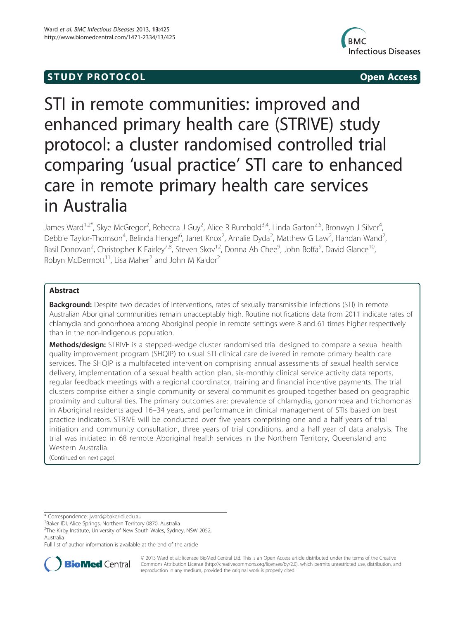## **STUDY PROTOCOL CONSUMING THE STUDY PROTOCOL**



# STI in remote communities: improved and enhanced primary health care (STRIVE) study protocol: a cluster randomised controlled trial comparing 'usual practice' STI care to enhanced care in remote primary health care services in Australia

James Ward<sup>1,2\*</sup>, Skye McGregor<sup>2</sup>, Rebecca J Guy<sup>2</sup>, Alice R Rumbold<sup>3,4</sup>, Linda Garton<sup>2,5</sup>, Bronwyn J Silver<sup>4</sup> , Debbie Taylor-Thomson<sup>4</sup>, Belinda Hengel<sup>6</sup>, Janet Knox<sup>2</sup>, Amalie Dyda<sup>2</sup>, Matthew G Law<sup>2</sup>, Handan Wand<sup>2</sup> , Basil Donovan<sup>2</sup>, Christopher K Fairley<sup>7,8</sup>, Steven Skov<sup>12</sup>, Donna Ah Chee<sup>9</sup>, John Boffa<sup>9</sup>, David Glance<sup>10</sup>, Robyn McDermott<sup>11</sup>, Lisa Maher<sup>2</sup> and John M Kaldor<sup>2</sup>

## Abstract

**Background:** Despite two decades of interventions, rates of sexually transmissible infections (STI) in remote Australian Aboriginal communities remain unacceptably high. Routine notifications data from 2011 indicate rates of chlamydia and gonorrhoea among Aboriginal people in remote settings were 8 and 61 times higher respectively than in the non-Indigenous population.

Methods/design: STRIVE is a stepped-wedge cluster randomised trial designed to compare a sexual health quality improvement program (SHQIP) to usual STI clinical care delivered in remote primary health care services. The SHQIP is a multifaceted intervention comprising annual assessments of sexual health service delivery, implementation of a sexual health action plan, six-monthly clinical service activity data reports, regular feedback meetings with a regional coordinator, training and financial incentive payments. The trial clusters comprise either a single community or several communities grouped together based on geographic proximity and cultural ties. The primary outcomes are: prevalence of chlamydia, gonorrhoea and trichomonas in Aboriginal residents aged 16–34 years, and performance in clinical management of STIs based on best practice indicators. STRIVE will be conducted over five years comprising one and a half years of trial initiation and community consultation, three years of trial conditions, and a half year of data analysis. The trial was initiated in 68 remote Aboriginal health services in the Northern Territory, Queensland and Western Australia.

(Continued on next page)

\* Correspondence: [jward@bakeridi.edu.au](mailto:jward@bakeridi.edu.au) <sup>1</sup>

<sup>1</sup>Baker IDI, Alice Springs, Northern Territory 0870, Australia

<sup>2</sup>The Kirby Institute, University of New South Wales, Sydney, NSW 2052, Australia

Full list of author information is available at the end of the article



© 2013 Ward et al.; licensee BioMed Central Ltd. This is an Open Access article distributed under the terms of the Creative Commons Attribution License [\(http://creativecommons.org/licenses/by/2.0\)](http://creativecommons.org/licenses/by/2.0), which permits unrestricted use, distribution, and reproduction in any medium, provided the original work is properly cited.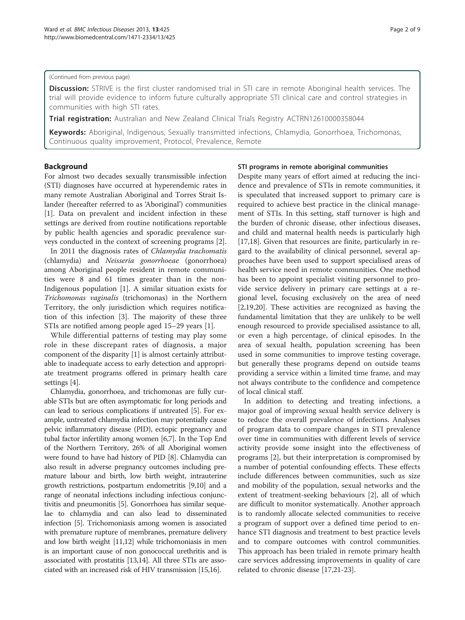#### (Continued from previous page)

Discussion: STRIVE is the first cluster randomised trial in STI care in remote Aboriginal health services. The trial will provide evidence to inform future culturally appropriate STI clinical care and control strategies in communities with high STI rates.

Trial registration: Australian and New Zealand Clinical Trials Registry [ACTRN12610000358044](https://www.anzctr.org.au/Trial/Registration/TrialReview.aspx?id=308322)

Keywords: Aboriginal, Indigenous, Sexually transmitted infections, Chlamydia, Gonorrhoea, Trichomonas, Continuous quality improvement, Protocol, Prevalence, Remote

### Background

For almost two decades sexually transmissible infection (STI) diagnoses have occurred at hyperendemic rates in many remote Australian Aboriginal and Torres Strait Islander (hereafter referred to as 'Aboriginal') communities [[1\]](#page-7-0). Data on prevalent and incident infection in these settings are derived from routine notifications reportable by public health agencies and sporadic prevalence surveys conducted in the context of screening programs [[2\]](#page-7-0).

In 2011 the diagnosis rates of Chlamydia trachomatis (chlamydia) and Neisseria gonorrhoeae (gonorrhoea) among Aboriginal people resident in remote communities were 8 and 61 times greater than in the non-Indigenous population [[1\]](#page-7-0). A similar situation exists for Trichomonas vaginalis (trichomonas) in the Northern Territory, the only jurisdiction which requires notification of this infection [\[3\]](#page-7-0). The majority of these three STIs are notified among people aged 15–29 years [\[1](#page-7-0)].

While differential patterns of testing may play some role in these discrepant rates of diagnosis, a major component of the disparity [\[1](#page-7-0)] is almost certainly attributable to inadequate access to early detection and appropriate treatment programs offered in primary health care settings [[4\]](#page-7-0).

Chlamydia, gonorrhoea, and trichomonas are fully curable STIs but are often asymptomatic for long periods and can lead to serious complications if untreated [[5](#page-7-0)]. For example, untreated chlamydia infection may potentially cause pelvic inflammatory disease (PID), ectopic pregnancy and tubal factor infertility among women [\[6,7\]](#page-7-0). In the Top End of the Northern Territory, 26% of all Aboriginal women were found to have had history of PID [\[8\]](#page-7-0). Chlamydia can also result in adverse pregnancy outcomes including premature labour and birth, low birth weight, intrauterine growth restrictions, postpartum endometritis [[9,10\]](#page-7-0) and a range of neonatal infections including infectious conjunctivitis and pneumonitis [\[5](#page-7-0)]. Gonorrhoea has similar sequelae to chlamydia and can also lead to disseminated infection [\[5\]](#page-7-0). Trichomoniasis among women is associated with premature rupture of membranes, premature delivery and low birth weight [\[11,12\]](#page-7-0) while trichomoniasis in men is an important cause of non gonococcal urethritis and is associated with prostatitis [[13,14\]](#page-7-0). All three STIs are associated with an increased risk of HIV transmission [\[15,16](#page-7-0)].

#### STI programs in remote aboriginal communities

Despite many years of effort aimed at reducing the incidence and prevalence of STIs in remote communities, it is speculated that increased support to primary care is required to achieve best practice in the clinical management of STIs. In this setting, staff turnover is high and the burden of chronic disease, other infectious diseases, and child and maternal health needs is particularly high [[17,18\]](#page-7-0). Given that resources are finite, particularly in regard to the availability of clinical personnel, several approaches have been used to support specialised areas of health service need in remote communities. One method has been to appoint specialist visiting personnel to provide service delivery in primary care settings at a regional level, focusing exclusively on the area of need [[2,19,20\]](#page-7-0). These activities are recognized as having the fundamental limitation that they are unlikely to be well enough resourced to provide specialised assistance to all, or even a high percentage, of clinical episodes. In the area of sexual health, population screening has been used in some communities to improve testing coverage, but generally these programs depend on outside teams providing a service within a limited time frame, and may not always contribute to the confidence and competence of local clinical staff.

In addition to detecting and treating infections, a major goal of improving sexual health service delivery is to reduce the overall prevalence of infections. Analyses of program data to compare changes in STI prevalence over time in communities with different levels of service activity provide some insight into the effectiveness of programs [[2\]](#page-7-0), but their interpretation is compromised by a number of potential confounding effects. These effects include differences between communities, such as size and mobility of the population, sexual networks and the extent of treatment-seeking behaviours [[2\]](#page-7-0), all of which are difficult to monitor systematically. Another approach is to randomly allocate selected communities to receive a program of support over a defined time period to enhance STI diagnosis and treatment to best practice levels and to compare outcomes with control communities. This approach has been trialed in remote primary health care services addressing improvements in quality of care related to chronic disease [\[17,21](#page-7-0)-[23](#page-7-0)].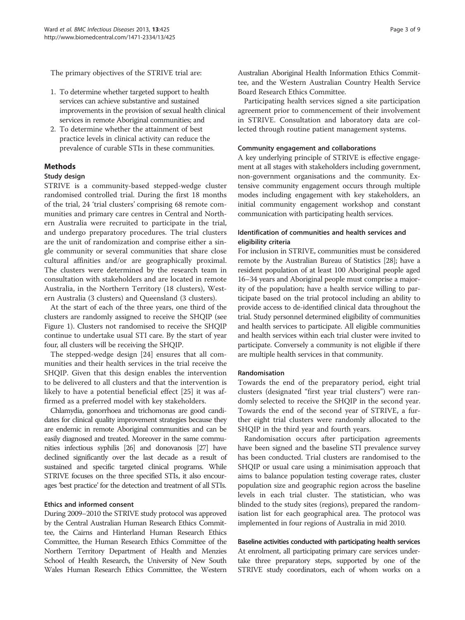The primary objectives of the STRIVE trial are:

- 1. To determine whether targeted support to health services can achieve substantive and sustained improvements in the provision of sexual health clinical services in remote Aboriginal communities; and
- 2. To determine whether the attainment of best practice levels in clinical activity can reduce the prevalence of curable STIs in these communities.

## Methods

## Study design

STRIVE is a community-based stepped-wedge cluster randomised controlled trial. During the first 18 months of the trial, 24 'trial clusters' comprising 68 remote communities and primary care centres in Central and Northern Australia were recruited to participate in the trial, and undergo preparatory procedures. The trial clusters are the unit of randomization and comprise either a single community or several communities that share close cultural affinities and/or are geographically proximal. The clusters were determined by the research team in consultation with stakeholders and are located in remote Australia, in the Northern Territory (18 clusters), Western Australia (3 clusters) and Queensland (3 clusters).

At the start of each of the three years, one third of the clusters are randomly assigned to receive the SHQIP (see Figure [1](#page-3-0)). Clusters not randomised to receive the SHQIP continue to undertake usual STI care. By the start of year four, all clusters will be receiving the SHQIP.

The stepped-wedge design [\[24](#page-7-0)] ensures that all communities and their health services in the trial receive the SHQIP. Given that this design enables the intervention to be delivered to all clusters and that the intervention is likely to have a potential beneficial effect [[25\]](#page-7-0) it was affirmed as a preferred model with key stakeholders.

Chlamydia, gonorrhoea and trichomonas are good candidates for clinical quality improvement strategies because they are endemic in remote Aboriginal communities and can be easily diagnosed and treated. Moreover in the same communities infectious syphilis [\[26](#page-7-0)] and donovanosis [\[27](#page-7-0)] have declined significantly over the last decade as a result of sustained and specific targeted clinical programs. While STRIVE focuses on the three specified STIs, it also encourages 'best practice' for the detection and treatment of all STIs.

## Ethics and informed consent

During 2009–2010 the STRIVE study protocol was approved by the Central Australian Human Research Ethics Committee, the Cairns and Hinterland Human Research Ethics Committee, the Human Research Ethics Committee of the Northern Territory Department of Health and Menzies School of Health Research, the University of New South Wales Human Research Ethics Committee, the Western

Australian Aboriginal Health Information Ethics Committee, and the Western Australian Country Health Service Board Research Ethics Committee.

Participating health services signed a site participation agreement prior to commencement of their involvement in STRIVE. Consultation and laboratory data are collected through routine patient management systems.

### Community engagement and collaborations

A key underlying principle of STRIVE is effective engagement at all stages with stakeholders including government, non-government organisations and the community. Extensive community engagement occurs through multiple modes including engagement with key stakeholders, an initial community engagement workshop and constant communication with participating health services.

## Identification of communities and health services and eligibility criteria

For inclusion in STRIVE, communities must be considered remote by the Australian Bureau of Statistics [\[28\]](#page-7-0); have a resident population of at least 100 Aboriginal people aged 16–34 years and Aboriginal people must comprise a majority of the population; have a health service willing to participate based on the trial protocol including an ability to provide access to de-identified clinical data throughout the trial. Study personnel determined eligibility of communities and health services to participate. All eligible communities and health services within each trial cluster were invited to participate. Conversely a community is not eligible if there are multiple health services in that community.

## Randomisation

Towards the end of the preparatory period, eight trial clusters (designated "first year trial clusters") were randomly selected to receive the SHQIP in the second year. Towards the end of the second year of STRIVE, a further eight trial clusters were randomly allocated to the SHQIP in the third year and fourth years.

Randomisation occurs after participation agreements have been signed and the baseline STI prevalence survey has been conducted. Trial clusters are randomised to the SHQIP or usual care using a minimisation approach that aims to balance population testing coverage rates, cluster population size and geographic region across the baseline levels in each trial cluster. The statistician, who was blinded to the study sites (regions), prepared the randomisation list for each geographical area. The protocol was implemented in four regions of Australia in mid 2010.

Baseline activities conducted with participating health services At enrolment, all participating primary care services undertake three preparatory steps, supported by one of the STRIVE study coordinators, each of whom works on a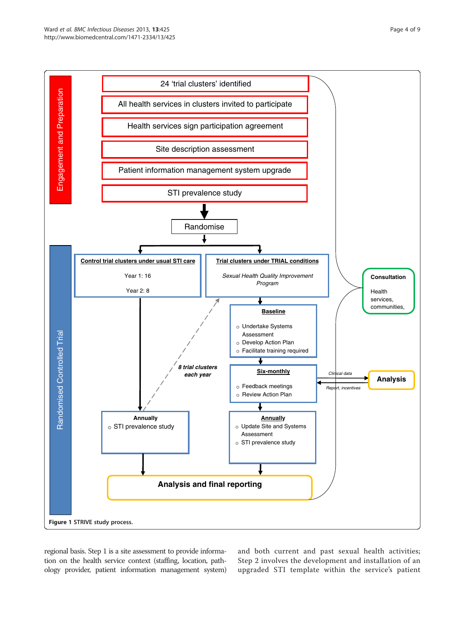<span id="page-3-0"></span>

regional basis. Step 1 is a site assessment to provide information on the health service context (staffing, location, pathology provider, patient information management system) and both current and past sexual health activities; Step 2 involves the development and installation of an upgraded STI template within the service's patient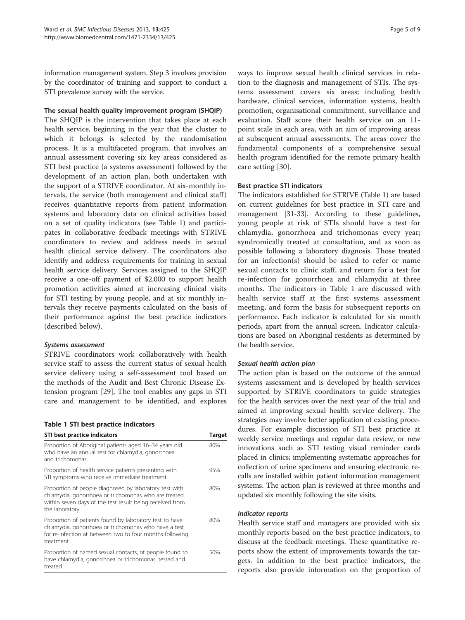<span id="page-4-0"></span>information management system. Step 3 involves provision by the coordinator of training and support to conduct a STI prevalence survey with the service.

#### The sexual health quality improvement program (SHQIP)

The SHQIP is the intervention that takes place at each health service, beginning in the year that the cluster to which it belongs is selected by the randomisation process. It is a multifaceted program, that involves an annual assessment covering six key areas considered as STI best practice (a systems assessment) followed by the development of an action plan, both undertaken with the support of a STRIVE coordinator. At six-monthly intervals, the service (both management and clinical staff ) receives quantitative reports from patient information systems and laboratory data on clinical activities based on a set of quality indicators (see Table 1) and participates in collaborative feedback meetings with STRIVE coordinators to review and address needs in sexual health clinical service delivery. The coordinators also identify and address requirements for training in sexual health service delivery. Services assigned to the SHQIP receive a one-off payment of \$2,000 to support health promotion activities aimed at increasing clinical visits for STI testing by young people, and at six monthly intervals they receive payments calculated on the basis of their performance against the best practice indicators (described below).

#### Systems assessment

STRIVE coordinators work collaboratively with health service staff to assess the current status of sexual health service delivery using a self-assessment tool based on the methods of the Audit and Best Chronic Disease Extension program [\[29](#page-7-0)], The tool enables any gaps in STI care and management to be identified, and explores

#### Table 1 STI best practice indicators

| STI best practice indicators                                                                                                                                                                 | <b>Target</b> |
|----------------------------------------------------------------------------------------------------------------------------------------------------------------------------------------------|---------------|
| Proportion of Aboriginal patients aged 16-34 years old<br>who have an annual test for chlamydia, gonorrhoea<br>and trichomonas                                                               | 80%           |
| Proportion of health service patients presenting with<br>STI symptoms who receive immediate treatment                                                                                        | 95%           |
| Proportion of people diagnosed by laboratory test with<br>chlamydia, gonorrhoea or trichomonas who are treated<br>within seven days of the test result being received from<br>the laboratory | 80%           |
| Proportion of patients found by laboratory test to have<br>chlamydia, gonorrhoea or trichomonas who have a test<br>for re-infection at between two to four months following<br>treatment     | 80%           |
| Proportion of named sexual contacts, of people found to<br>have chlamydia, gonorrhoea or trichomonas, tested and<br>treated                                                                  | 50%           |

ways to improve sexual health clinical services in relation to the diagnosis and management of STIs. The systems assessment covers six areas; including health hardware, clinical services, information systems, health promotion, organisational commitment, surveillance and evaluation. Staff score their health service on an 11 point scale in each area, with an aim of improving areas at subsequent annual assessments. The areas cover the fundamental components of a comprehensive sexual health program identified for the remote primary health care setting [[30\]](#page-7-0).

#### Best practice STI indicators

The indicators established for STRIVE (Table 1) are based on current guidelines for best practice in STI care and management [\[31](#page-7-0)[-33\]](#page-8-0). According to these guidelines, young people at risk of STIs should have a test for chlamydia, gonorrhoea and trichomonas every year; syndromically treated at consultation, and as soon as possible following a laboratory diagnosis. Those treated for an infection(s) should be asked to refer or name sexual contacts to clinic staff, and return for a test for re-infection for gonorrhoea and chlamydia at three months. The indicators in Table 1 are discussed with health service staff at the first systems assessment meeting, and form the basis for subsequent reports on performance. Each indicator is calculated for six month periods, apart from the annual screen. Indicator calculations are based on Aboriginal residents as determined by the health service.

#### Sexual health action plan

The action plan is based on the outcome of the annual systems assessment and is developed by health services supported by STRIVE coordinators to guide strategies for the health services over the next year of the trial and aimed at improving sexual health service delivery. The strategies may involve better application of existing procedures. For example discussion of STI best practice at weekly service meetings and regular data review, or new innovations such as STI testing visual reminder cards placed in clinics; implementing systematic approaches for collection of urine specimens and ensuring electronic recalls are installed within patient information management systems. The action plan is reviewed at three months and updated six monthly following the site visits.

#### Indicator reports

Health service staff and managers are provided with six monthly reports based on the best practice indicators, to discuss at the feedback meetings. These quantitative reports show the extent of improvements towards the targets. In addition to the best practice indicators, the reports also provide information on the proportion of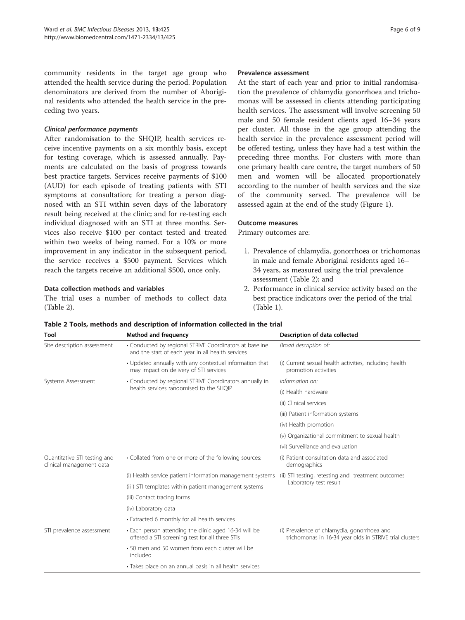<span id="page-5-0"></span>community residents in the target age group who attended the health service during the period. Population denominators are derived from the number of Aboriginal residents who attended the health service in the preceding two years.

#### Clinical performance payments

After randomisation to the SHQIP, health services receive incentive payments on a six monthly basis, except for testing coverage, which is assessed annually. Payments are calculated on the basis of progress towards best practice targets. Services receive payments of \$100 (AUD) for each episode of treating patients with STI symptoms at consultation; for treating a person diagnosed with an STI within seven days of the laboratory result being received at the clinic; and for re-testing each individual diagnosed with an STI at three months. Services also receive \$100 per contact tested and treated within two weeks of being named. For a 10% or more improvement in any indicator in the subsequent period, the service receives a \$500 payment. Services which reach the targets receive an additional \$500, once only.

#### Data collection methods and variables

The trial uses a number of methods to collect data (Table 2).

#### Prevalence assessment

At the start of each year and prior to initial randomisation the prevalence of chlamydia gonorrhoea and trichomonas will be assessed in clients attending participating health services. The assessment will involve screening 50 male and 50 female resident clients aged 16–34 years per cluster. All those in the age group attending the health service in the prevalence assessment period will be offered testing, unless they have had a test within the preceding three months. For clusters with more than one primary health care centre, the target numbers of 50 men and women will be allocated proportionately according to the number of health services and the size of the community served. The prevalence will be assessed again at the end of the study (Figure [1](#page-3-0)).

#### Outcome measures

Primary outcomes are:

- 1. Prevalence of chlamydia, gonorrhoea or trichomonas in male and female Aboriginal residents aged 16– 34 years, as measured using the trial prevalence assessment (Table 2); and
- 2. Performance in clinical service activity based on the best practice indicators over the period of the trial (Table [1\)](#page-4-0).

| Tool                                                     | <b>Method and frequency</b>                                                                                  | Description of data collected                                                                          |
|----------------------------------------------------------|--------------------------------------------------------------------------------------------------------------|--------------------------------------------------------------------------------------------------------|
| Site description assessment                              | • Conducted by regional STRIVE Coordinators at baseline<br>and the start of each year in all health services | Broad description of:                                                                                  |
|                                                          | • Updated annually with any contextual information that<br>may impact on delivery of STI services            | (i) Current sexual health activities, including health<br>promotion activities                         |
| Systems Assessment                                       | • Conducted by regional STRIVE Coordinators annually in<br>health services randomised to the SHOIP           | Information on:                                                                                        |
|                                                          |                                                                                                              | (i) Health hardware                                                                                    |
|                                                          |                                                                                                              | (ii) Clinical services                                                                                 |
|                                                          |                                                                                                              | (iii) Patient information systems                                                                      |
|                                                          |                                                                                                              | (iv) Health promotion                                                                                  |
|                                                          |                                                                                                              | (v) Organizational commitment to sexual health                                                         |
|                                                          |                                                                                                              | (vi) Surveillance and evaluation                                                                       |
| Quantitative STI testing and<br>clinical management data | • Collated from one or more of the following sources:                                                        | (i) Patient consultation data and associated<br>demographics                                           |
|                                                          | (i) Health service patient information management systems                                                    | (ii) STI testing, retesting and treatment outcomes<br>Laboratory test result                           |
|                                                          | (ii) STI templates within patient management systems                                                         |                                                                                                        |
|                                                          | (iii) Contact tracing forms                                                                                  |                                                                                                        |
|                                                          | (iv) Laboratory data                                                                                         |                                                                                                        |
|                                                          | • Extracted 6 monthly for all health services                                                                |                                                                                                        |
| STI prevalence assessment                                | • Each person attending the clinic aged 16-34 will be<br>offered a STI screening test for all three STIs     | (i) Prevalence of chlamydia, gonorrhoea and<br>trichomonas in 16-34 year olds in STRIVE trial clusters |
|                                                          | • 50 men and 50 women from each cluster will be<br>included                                                  |                                                                                                        |
|                                                          | • Takes place on an annual basis in all health services                                                      |                                                                                                        |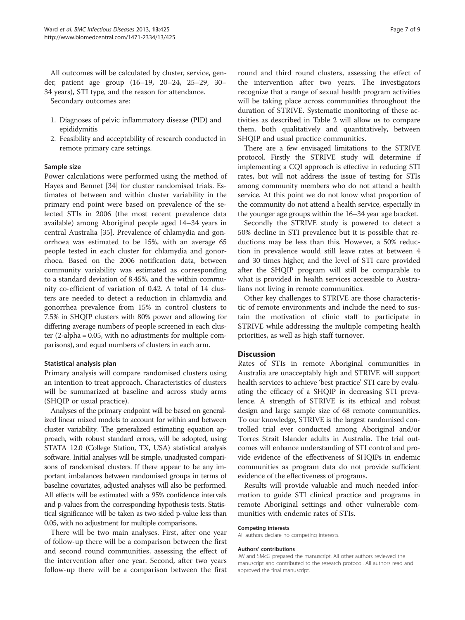All outcomes will be calculated by cluster, service, gender, patient age group (16–19, 20–24, 25–29, 30– 34 years), STI type, and the reason for attendance.

Secondary outcomes are:

- 1. Diagnoses of pelvic inflammatory disease (PID) and epididymitis
- 2. Feasibility and acceptability of research conducted in remote primary care settings.

#### Sample size

Power calculations were performed using the method of Hayes and Bennet [\[34](#page-8-0)] for cluster randomised trials. Estimates of between and within cluster variability in the primary end point were based on prevalence of the selected STIs in 2006 (the most recent prevalence data available) among Aboriginal people aged 14–34 years in central Australia [\[35](#page-8-0)]. Prevalence of chlamydia and gonorrhoea was estimated to be 15%, with an average 65 people tested in each cluster for chlamydia and gonorrhoea. Based on the 2006 notification data, between community variability was estimated as corresponding to a standard deviation of 8.45%, and the within community co-efficient of variation of 0.42. A total of 14 clusters are needed to detect a reduction in chlamydia and gonorrhea prevalence from 15% in control clusters to 7.5% in SHQIP clusters with 80% power and allowing for differing average numbers of people screened in each cluster (2-alpha = 0.05, with no adjustments for multiple comparisons), and equal numbers of clusters in each arm.

#### Statistical analysis plan

Primary analysis will compare randomised clusters using an intention to treat approach. Characteristics of clusters will be summarized at baseline and across study arms (SHQIP or usual practice).

Analyses of the primary endpoint will be based on generalized linear mixed models to account for within and between cluster variability. The generalized estimating equation approach, with robust standard errors, will be adopted, using STATA 12.0 (College Station, TX, USA) statistical analysis software. Initial analyses will be simple, unadjusted comparisons of randomised clusters. If there appear to be any important imbalances between randomised groups in terms of baseline covariates, adjusted analyses will also be performed. All effects will be estimated with a 95% confidence intervals and p-values from the corresponding hypothesis tests. Statistical significance will be taken as two sided p-value less than 0.05, with no adjustment for multiple comparisons.

There will be two main analyses. First, after one year of follow-up there will be a comparison between the first and second round communities, assessing the effect of the intervention after one year. Second, after two years follow-up there will be a comparison between the first

round and third round clusters, assessing the effect of the intervention after two years. The investigators recognize that a range of sexual health program activities will be taking place across communities throughout the duration of STRIVE. Systematic monitoring of these activities as described in Table [2](#page-5-0) will allow us to compare them, both qualitatively and quantitatively, between SHQIP and usual practice communities.

There are a few envisaged limitations to the STRIVE protocol. Firstly the STRIVE study will determine if implementing a CQI approach is effective in reducing STI rates, but will not address the issue of testing for STIs among community members who do not attend a health service. At this point we do not know what proportion of the community do not attend a health service, especially in the younger age groups within the 16–34 year age bracket.

Secondly the STRIVE study is powered to detect a 50% decline in STI prevalence but it is possible that reductions may be less than this. However, a 50% reduction in prevalence would still leave rates at between 4 and 30 times higher, and the level of STI care provided after the SHQIP program will still be comparable to what is provided in health services accessible to Australians not living in remote communities.

Other key challenges to STRIVE are those characteristic of remote environments and include the need to sustain the motivation of clinic staff to participate in STRIVE while addressing the multiple competing health priorities, as well as high staff turnover.

#### Discussion

Rates of STIs in remote Aboriginal communities in Australia are unacceptably high and STRIVE will support health services to achieve 'best practice' STI care by evaluating the efficacy of a SHQIP in decreasing STI prevalence. A strength of STRIVE is its ethical and robust design and large sample size of 68 remote communities. To our knowledge, STRIVE is the largest randomised controlled trial ever conducted among Aboriginal and/or Torres Strait Islander adults in Australia. The trial outcomes will enhance understanding of STI control and provide evidence of the effectiveness of SHQIPs in endemic communities as program data do not provide sufficient evidence of the effectiveness of programs.

Results will provide valuable and much needed information to guide STI clinical practice and programs in remote Aboriginal settings and other vulnerable communities with endemic rates of STIs.

#### Competing interests

All authors declare no competing interests.

#### Authors' contributions

JW and SMcG prepared the manuscript. All other authors reviewed the manuscript and contributed to the research protocol. All authors read and approved the final manuscript.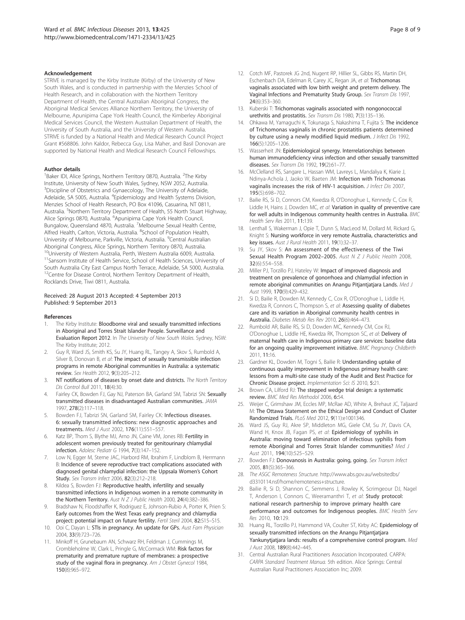#### <span id="page-7-0"></span>Acknowledgement

STRIVE is managed by the Kirby Institute (Kirby) of the University of New South Wales, and is conducted in partnership with the Menzies School of Health Research, and in collaboration with the Northern Territory Department of Health, the Central Australian Aboriginal Congress, the Aboriginal Medical Services Alliance Northern Territory, the University of Melbourne, Apunipima Cape York Health Council, the Kimberley Aboriginal Medical Services Council, the Western Australian Department of Health, the University of South Australia, and the University of Western Australia. STRIVE is funded by a National Health and Medical Research Council Project Grant #568806. John Kaldor, Rebecca Guy, Lisa Maher, and Basil Donovan are supported by National Health and Medical Research Council Fellowships.

#### Author details

<sup>1</sup>Baker IDI, Alice Springs, Northern Territory 0870, Australia. <sup>2</sup>The Kirby Institute, University of New South Wales, Sydney, NSW 2052, Australia. <sup>3</sup>Discipline of Obstetrics and Gynaecology, The University of Adelaide, Adelaide, SA 5005, Australia. <sup>4</sup>Epidemiology and Health Systems Division, Menzies School of Health Research, PO Box 41096, Casuarina, NT 0811, Australia. <sup>5</sup>Northern Territory Department of Health, 55 North Stuart Highway, Alice Springs 0870, Australia. <sup>6</sup>Apunipima Cape York Health Council, Bungalow, Queensland 4870, Australia. <sup>7</sup>Melbourne Sexual Health Centre, Alfred Health, Carlton, Victoria, Australia. <sup>8</sup>School of Population Health, University of Melbourne, Parkville, Victoria, Australia. <sup>9</sup>Central Australian Aboriginal Congress, Alice Springs, Northern Territory 0870, Australia. <sup>10</sup>University of Western Australia, Perth, Western Australia 6009, Australia. <sup>11</sup>Sansom Institute of Health Service, School of Health Sciences, University of South Australia City East Campus North Terrace, Adelaide, SA 5000, Australia. 12Centre for Disease Control, Northern Territory Department of Health, Rocklands Drive, Tiwi 0811, Australia.

#### Received: 28 August 2013 Accepted: 4 September 2013 Published: 9 September 2013

#### References

- 1. The Kirby Institute: Bloodborne viral and sexually transmitted infections in Aboriginal and Torres Strait Islander People. Surveillance and Evaluation Report 2012. In The University of New South Wales. Sydney, NSW: The Kirby Institute; 2012.
- 2. Guy R, Ward JS, Smith KS, Su JY, Huang RL, Tangey A, Skov S, Rumbold A, Silver B, Donovan B, et al: The impact of sexually transmissible infection programs in remote Aboriginal communities in Australia: a systematic review. Sex Health 2012, 9(3):205–212.
- 3. NT notifications of diseases by onset date and districts. The North Territory Dis Control Bull 2011, 18(4):30.
- Fairley CK, Bowden FJ, Gay NJ, Paterson BA, Garland SM, Tabrizi SN: Sexually transmitted diseases in disadvantaged Australian communities. JAMA 1997, 278(2):117–118.
- 5. Bowden FJ, Tabrizi SN, Garland SM, Fairley CK: Infectious diseases. 6: sexually transmitted infections: new diagnostic approaches and treatments. Med J Aust 2002, 176(11):551–557.
- Katz BP, Thom S, Blythe MJ, Arno JN, Caine VM, Jones RB: Fertility in adolescent women previously treated for genitourinary chlamydial infection. Adolesc Pediatr G 1994, 7(3):147–152.
- 7. Low N, Egger M, Sterne JAC, Harbord RM, Ibrahim F, Lindblom B, Herrmann B: Incidence of severe reproductive tract complications associated with diagnosed genital chlamydial infection: the Uppsala Women's Cohort Study. Sex Transm Infect 2006, 82(3):212–218.
- Kildea S, Bowden FJ: Reproductive health, infertility and sexually transmitted infections in Indigenous women in a remote community in the Northern Territory. Aust N Z J Public Health 2000, 24(4):382-386.
- Bradshaw N, Floodshaffer K, Rodriguez E, Johnson-Rubio A, Porter K, Prien S: Early outcomes from the West Texas early pregnancy and chlamydia project: potential impact on future fertility. Fertil Steril 2004, 82:S15-S15.
- 10. Ooi C, Dayan L: STIs in pregnancy. An update for GPs. Aust Fam Physician 2004, 33(9):723–726.
- 11. Minkoff H, Grunebaum AN, Schwarz RH, Feldman J, Cummings M, Crombleholme W, Clark L, Pringle G, McCormack WM: Risk factors for prematurity and premature rupture of membranes: a prospective study of the vaginal flora in pregnancy. Am J Obstet Gynecol 1984, 150(8):965–972.
- 12. Cotch MF, Pastorek JG 2nd, Nugent RP, Hillier SL, Gibbs RS, Martin DH, Eschenbach DA, Edelman R, Carey JC, Regan JA, et al: Trichomonas vaginalis associated with low birth weight and preterm delivery. The Vaginal Infections and Prematurity Study Group. Sex Transm Dis 1997, 24(6):353–360.
- 13. Kuberski T: Trichomonas vaginalis associated with nongonococcal urethritis and prostatitis. Sex Transm Dis 1980, 7(3):135–136.
- 14. Ohkawa M, Yamaguchi K, Tokunaga S, Nakashima T, Fujita S: The incidence of Trichomonas vaginalis in chronic prostatitis patients determined by culture using a newly modified liquid medium. J Infect Dis 1992, 166(5):1205–1206.
- 15. Wasserheit JN: Epidemiological synergy. Interrelationships between human immunodeficiency virus infection and other sexually transmitted diseases. Sex Transm Dis 1992, 19(2):61–77.
- 16. McClelland RS, Sangare L, Hassan WM, Lavreys L, Mandaliya K, Kiarie J, Ndinya-Achola J, Jaoko W, Baeten JM: Infection with Trichomonas vaginalis increases the risk of HIV-1 acquisition. *J Infect Dis* 2007, 195(5):698–702.
- 17. Bailie RS, Si D, Connors CM, Kwedza R, O'Donoghue L, Kennedy C, Cox R, Liddle H, Hains J, Dowden MC, et al: Variation in quality of preventive care for well adults in Indigenous community health centres in Australia. BMC Health Serv Res 2011, 11:139.
- 18. Lenthall S, Wakerman J, Opie T, Dunn S, MacLeod M, Dollard M, Rickard G, Knight S: Nursing workforce in very remote Australia, characteristics and key issues. Aust J Rural Health 2011, 19(1):32–37.
- 19. Su JY, Skov S: An assessment of the effectiveness of the Tiwi Sexual Health Program 2002-2005. Aust N Z J Public Health 2008, 32(6):554–558.
- 20. Miller PJ, Torzillo PJ, Hateley W: Impact of improved diagnosis and treatment on prevalence of gonorrhoea and chlamydial infection in remote aboriginal communities on Anangu Pitjantjatjara Lands. Med J Aust 1999, 170(9):429–432.
- 21. Si D, Bailie R, Dowden M, Kennedy C, Cox R, O'Donoghue L, Liddle H, Kwedza R, Connors C, Thompson S, et al: Assessing quality of diabetes care and its variation in Aboriginal community health centres in Australia. Diabetes Metab Res Rev 2010, 26(6):464–473.
- 22. Rumbold AR, Bailie RS, Si D, Dowden MC, Kennedy CM, Cox RJ, O'Donoghue L, Liddle HE, Kwedza RK, Thompson SC, et al: Delivery of maternal health care in Indigenous primary care services: baseline data for an ongoing quality improvement initiative. BMC Pregnancy Childbirth 2011, 11:16.
- 23. Gardner KL, Dowden M, Togni S, Bailie R: Understanding uptake of continuous quality improvement in Indigenous primary health care: lessons from a multi-site case study of the Audit and Best Practice for Chronic Disease project. Implementation Sci: IS 2010, 5:21.
- 24. Brown CA, Lilford RJ: The stepped wedge trial design: a systematic review. BMC Med Res Methodol 2006, 6:54.
- 25. Weijer C, Grimshaw JM, Eccles MP, McRae AD, White A, Brehaut JC, Taljaard M: The Ottawa Statement on the Ethical Design and Conduct of Cluster Randomized Trials. PLoS Med 2012, 9(11):e1001346.
- 26. Ward JS, Guy RJ, Akre SP, Middleton MG, Giele CM, Su JY, Davis CA, Wand H, Knox JB, Fagan PS, et al: Epidemiology of syphilis in Australia: moving toward elimination of infectious syphilis from remote Aboriginal and Torres Strait Islander communities? Med J Aust 2011, 194(10):525–529.
- 27. Bowden FJ: Donovanosis in Australia: going, going. Sex Transm Infect 2005, 81(5):365–366.
- 28. The ASGC Remoteness Structure. [http://www.abs.gov.au/websitedbs/](http://www.abs.gov.au/websitedbs/d3310114.nsf/home/remoteness+structure) [d3310114.nsf/home/remoteness+structure.](http://www.abs.gov.au/websitedbs/d3310114.nsf/home/remoteness+structure)
- 29. Bailie R, Si D, Shannon C, Semmens J, Rowley K, Scrimgeour DJ, Nagel T, Anderson I, Connors C, Weeramanthri T, et al: Study protocol: national research partnership to improve primary health care performance and outcomes for Indigenous peoples. BMC Health Serv Res 2010, 10:129.
- 30. Huang RL, Torzillo PJ, Hammond VA, Coulter ST, Kirby AC: Epidemiology of sexually transmitted infections on the Anangu Pitjantjatjara Yankunytjatjara lands: results of a comprehensive control program. Med J Aust 2008, 189(8):442–445.
- 31. Central Australian Rural Practitioners Association Incorporated. CARPA: CARPA Standard Treatment Manua. 5th edition. Alice Springs: Central Australian Rural Practitioners Association Inc; 2009.